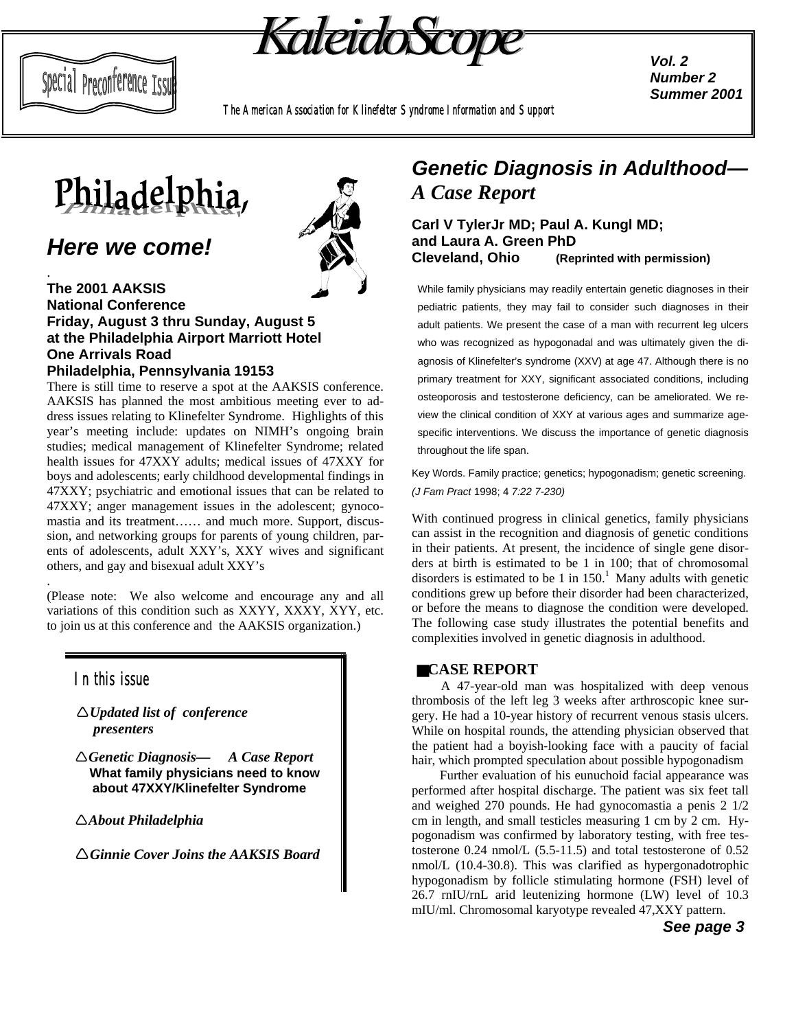

*Vol. 2 Number 2 Summer 2001*

*The American Association for Klinefelter Syndrome Information and Support*



# *Here we come!*

Special Preconference Issu

.

.

#### **The 2001 AAKSIS National Conference Friday, August 3 thru Sunday, August 5 at the Philadelphia Airport Marriott Hotel One Arrivals Road Philadelphia, Pennsylvania 19153**

There is still time to reserve a spot at the AAKSIS conference. AAKSIS has planned the most ambitious meeting ever to address issues relating to Klinefelter Syndrome. Highlights of this year's meeting include: updates on NIMH's ongoing brain studies; medical management of Klinefelter Syndrome; related health issues for 47XXY adults; medical issues of 47XXY for boys and adolescents; early childhood developmental findings in 47XXY; psychiatric and emotional issues that can be related to 47XXY; anger management issues in the adolescent; gynocomastia and its treatment…… and much more. Support, discussion, and networking groups for parents of young children, parents of adolescents, adult XXY's, XXY wives and significant others, and gay and bisexual adult XXY's

(Please note: We also welcome and encourage any and all variations of this condition such as XXYY, XXXY, XYY, etc. to join us at this conference and the AAKSIS organization.)

## *In this issue*

!*Updated list of conference presenters*

!*Genetic Diagnosis— A Case Report*  **What family physicians need to know about 47XXY/Klinefelter Syndrome**

!*About Philadelphia*

!*Ginnie Cover Joins the AAKSIS Board*



# *Genetic Diagnosis in Adulthood— A Case Report*

**Carl V TylerJr MD; Paul A. Kungl MD; and Laura A. Green PhD Cleveland, Ohio (Reprinted with permission)**

While family physicians may readily entertain genetic diagnoses in their pediatric patients, they may fail to consider such diagnoses in their adult patients. We present the case of a man with recurrent leg ulcers who was recognized as hypogonadal and was ultimately given the diagnosis of Klinefelter's syndrome (XXV) at age 47. Although there is no primary treatment for XXY, significant associated conditions, including osteoporosis and testosterone deficiency, can be ameliorated. We review the clinical condition of XXY at various ages and summarize agespecific interventions. We discuss the importance of genetic diagnosis throughout the life span.

Key Words. Family practice; genetics; hypogonadism; genetic screening. *(J Fam Pract* 1998; 4 *7:22 7-230)*

With continued progress in clinical genetics, family physicians can assist in the recognition and diagnosis of genetic conditions in their patients. At present, the incidence of single gene disorders at birth is estimated to be 1 in 100; that of chromosomal disorders is estimated to be 1 in  $150<sup>1</sup>$  Many adults with genetic conditions grew up before their disorder had been characterized, or before the means to diagnose the condition were developed. The following case study illustrates the potential benefits and complexities involved in genetic diagnosis in adulthood.

### ■**CASE REPORT**

A 47-year-old man was hospitalized with deep venous thrombosis of the left leg 3 weeks after arthroscopic knee surgery. He had a 10-year history of recurrent venous stasis ulcers. While on hospital rounds, the attending physician observed that the patient had a boyish-looking face with a paucity of facial hair, which prompted speculation about possible hypogonadism

Further evaluation of his eunuchoid facial appearance was performed after hospital discharge. The patient was six feet tall and weighed 270 pounds. He had gynocomastia a penis 2 1/2 cm in length, and small testicles measuring 1 cm by 2 cm. Hypogonadism was confirmed by laboratory testing, with free testosterone 0.24 nmol/L (5.5-11.5) and total testosterone of 0.52 nmol/L (10.4-30.8). This was clarified as hypergonadotrophic hypogonadism by follicle stimulating hormone (FSH) level of 26.7 rnIU/rnL arid leutenizing hormone (LW) level of 10.3 mIU/ml. Chromosomal karyotype revealed 47,XXY pattern.

 *See page 3*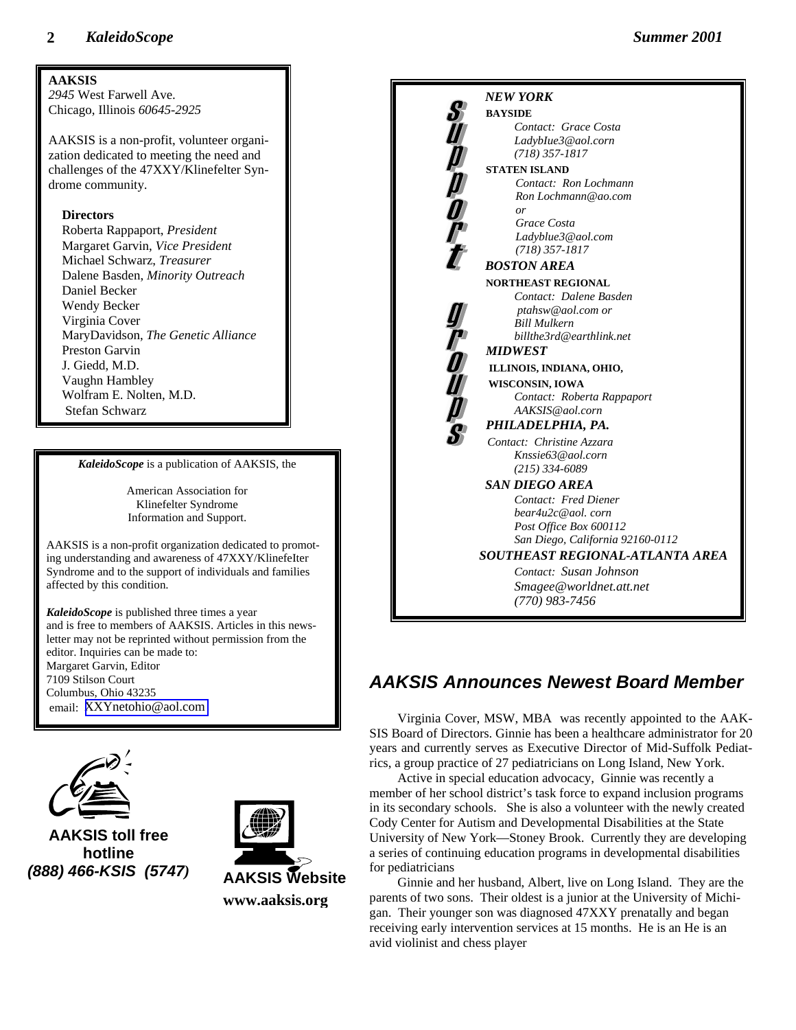

and is free to members of AAKSIS. Articles in this newsletter may not be reprinted without permission from the editor. Inquiries can be made to: Margaret Garvin, Editor 7109 Stilson Court Columbus, Ohio 43235 email: [XXYnetohio@aol.com](mailto:XXYnetohio@aol.com)



**AAKSIS toll free hotline** *(888) 466-KSIS (5747)*



**www.aaksis.org**



# *AAKSIS Announces Newest Board Member*

Virginia Cover, MSW, MBA was recently appointed to the AAK-SIS Board of Directors. Ginnie has been a healthcare administrator for 20 years and currently serves as Executive Director of Mid-Suffolk Pediatrics, a group practice of 27 pediatricians on Long Island, New York.

Active in special education advocacy, Ginnie was recently a member of her school district's task force to expand inclusion programs in its secondary schools. She is also a volunteer with the newly created Cody Center for Autism and Developmental Disabilities at the State University of New York—Stoney Brook. Currently they are developing a series of continuing education programs in developmental disabilities for pediatricians

Ginnie and her husband, Albert, live on Long Island. They are the parents of two sons. Their oldest is a junior at the University of Michigan. Their younger son was diagnosed 47XXY prenatally and began receiving early intervention services at 15 months. He is an He is an avid violinist and chess player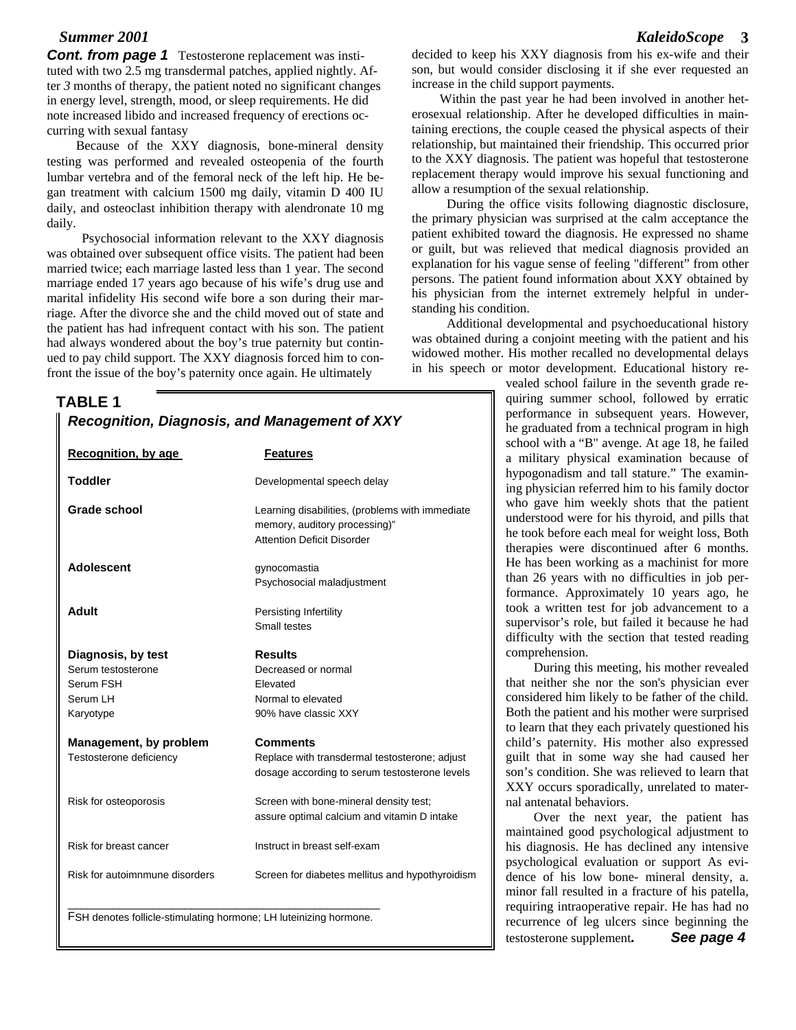*Cont. from page 1* Testosterone replacement was instituted with two 2.5 mg transdermal patches, applied nightly. After *3* months of therapy, the patient noted no significant changes in energy level, strength, mood, or sleep requirements. He did note increased libido and increased frequency of erections occurring with sexual fantasy

Because of the XXY diagnosis, bone-mineral density testing was performed and revealed osteopenia of the fourth lumbar vertebra and of the femoral neck of the left hip. He began treatment with calcium 1500 mg daily, vitamin D 400 IU daily, and osteoclast inhibition therapy with alendronate 10 mg daily.

Psychosocial information relevant to the XXY diagnosis was obtained over subsequent office visits. The patient had been married twice; each marriage lasted less than 1 year. The second marriage ended 17 years ago because of his wife's drug use and marital infidelity His second wife bore a son during their marriage. After the divorce she and the child moved out of state and the patient has had infrequent contact with his son. The patient had always wondered about the boy's true paternity but continued to pay child support. The XXY diagnosis forced him to confront the issue of the boy's paternity once again. He ultimately

#### **TABLE 1**

| <b>Recognition, by age</b>                                                     | <b>Features</b>                                                                                                       |
|--------------------------------------------------------------------------------|-----------------------------------------------------------------------------------------------------------------------|
| <b>Toddler</b>                                                                 | Developmental speech delay                                                                                            |
| Grade school                                                                   | Learning disabilities, (problems with immediate<br>memory, auditory processing)"<br><b>Attention Deficit Disorder</b> |
| <b>Adolescent</b>                                                              | gynocomastia<br>Psychosocial maladjustment                                                                            |
| Adult                                                                          | Persisting Infertility<br>Small testes                                                                                |
| Diagnosis, by test<br>Serum testosterone<br>Serum FSH<br>Serum LH<br>Karyotype | <b>Results</b><br>Decreased or normal<br>Elevated<br>Normal to elevated<br>90% have classic XXY                       |
| Management, by problem<br>Testosterone deficiency                              | <b>Comments</b><br>Replace with transdermal testosterone; adjust<br>dosage according to serum testosterone levels     |
| Risk for osteoporosis                                                          | Screen with bone-mineral density test;<br>assure optimal calcium and vitamin D intake                                 |
| Risk for breast cancer                                                         | Instruct in breast self-exam                                                                                          |
| Risk for autoimnmune disorders                                                 | Screen for diabetes mellitus and hypothyroidism                                                                       |

*Summer 2001**KaleidoScope* **3**

decided to keep his XXY diagnosis from his ex-wife and their son, but would consider disclosing it if she ever requested an increase in the child support payments.

Within the past year he had been involved in another heterosexual relationship. After he developed difficulties in maintaining erections, the couple ceased the physical aspects of their relationship, but maintained their friendship. This occurred prior to the XXY diagnosis. The patient was hopeful that testosterone replacement therapy would improve his sexual functioning and allow a resumption of the sexual relationship.

During the office visits following diagnostic disclosure, the primary physician was surprised at the calm acceptance the patient exhibited toward the diagnosis. He expressed no shame or guilt, but was relieved that medical diagnosis provided an explanation for his vague sense of feeling "different" from other persons. The patient found information about XXY obtained by his physician from the internet extremely helpful in understanding his condition.

Additional developmental and psychoeducational history was obtained during a conjoint meeting with the patient and his widowed mother. His mother recalled no developmental delays in his speech or motor development. Educational history re-

> vealed school failure in the seventh grade requiring summer school, followed by erratic performance in subsequent years. However, he graduated from a technical program in high school with a "B" avenge. At age 18, he failed a military physical examination because of hypogonadism and tall stature." The examining physician referred him to his family doctor who gave him weekly shots that the patient understood were for his thyroid, and pills that he took before each meal for weight loss, Both therapies were discontinued after 6 months. He has been working as a machinist for more than 26 years with no difficulties in job performance. Approximately 10 years ago, he took a written test for job advancement to a supervisor's role, but failed it because he had difficulty with the section that tested reading comprehension.

> During this meeting, his mother revealed that neither she nor the son's physician ever considered him likely to be father of the child. Both the patient and his mother were surprised to learn that they each privately questioned his child's paternity. His mother also expressed guilt that in some way she had caused her son's condition. She was relieved to learn that XXY occurs sporadically, unrelated to maternal antenatal behaviors.

> Over the next year, the patient has maintained good psychological adjustment to his diagnosis. He has declined any intensive psychological evaluation or support As evidence of his low bone- mineral density, a. minor fall resulted in a fracture of his patella, requiring intraoperative repair. He has had no recurrence of leg ulcers since beginning the testosterone supplement*. See page 4*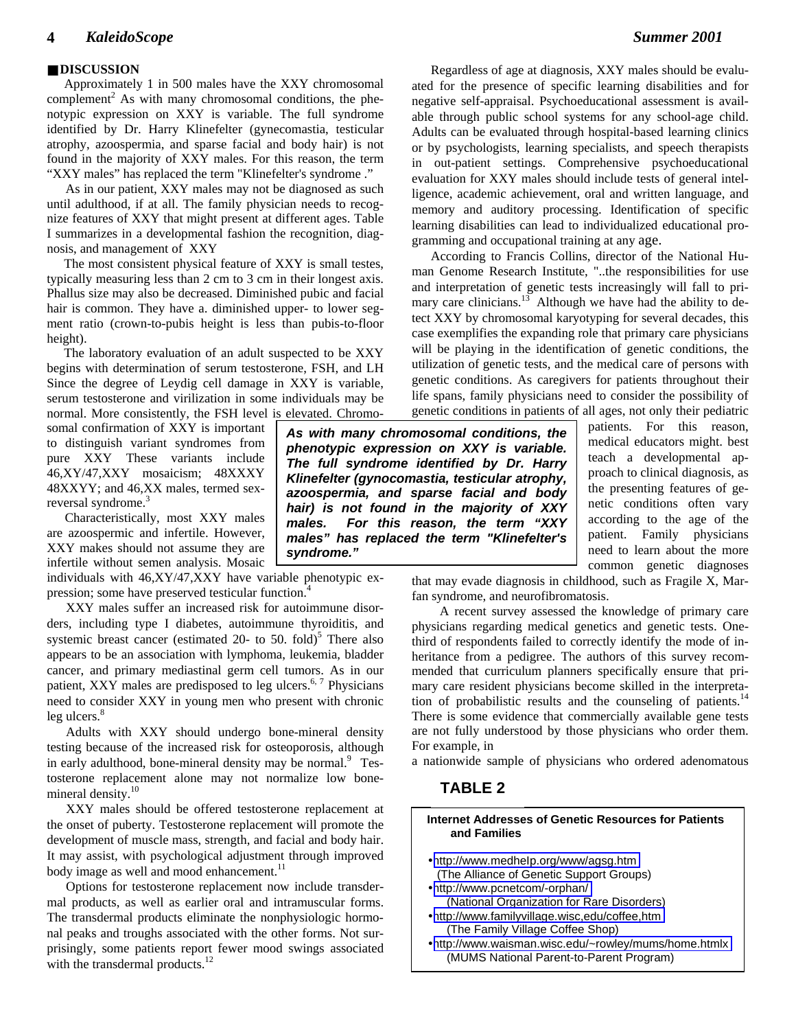#### ■ **DISCUSSION**

 Approximately 1 in 500 males have the XXY chromosomal  $\tilde{\text{c}^2}$  Complement<sup>2</sup> As with many chromosomal conditions, the phenotypic expression on XXY is variable. The full syndrome identified by Dr. Harry Klinefelter (gynecomastia, testicular atrophy, azoospermia, and sparse facial and body hair) is not found in the majority of XXY males. For this reason, the term "XXY males" has replaced the term "Klinefelter's syndrome ."

As in our patient, XXY males may not be diagnosed as such until adulthood, if at all. The family physician needs to recognize features of XXY that might present at different ages. Table I summarizes in a developmental fashion the recognition, diagnosis, and management of XXY

The most consistent physical feature of XXY is small testes, typically measuring less than 2 cm to 3 cm in their longest axis. Phallus size may also be decreased. Diminished pubic and facial hair is common. They have a. diminished upper- to lower segment ratio (crown-to-pubis height is less than pubis-to-floor height).

The laboratory evaluation of an adult suspected to be XXY begins with determination of serum testosterone, FSH, and LH Since the degree of Leydig cell damage in XXY is variable, serum testosterone and virilization in some individuals may be normal. More consistently, the FSH level is elevated. Chromo-

somal confirmation of XXY is important to distinguish variant syndromes from pure XXY These variants include 46,XY/47,XXY mosaicism; 48XXXY 48XXYY; and 46,XX males, termed sexreversal syndrome.<sup>3</sup>

Characteristically, most XXY males are azoospermic and infertile. However, XXY makes should not assume they are infertile without semen analysis. Mosaic

individuals with 46,XY/47,XXY have variable phenotypic expression; some have preserved testicular function.<sup>4</sup>

XXY males suffer an increased risk for autoimmune disorders, including type I diabetes, autoimmune thyroiditis, and systemic breast cancer (estimated 20- to 50. fold)<sup>5</sup> There also appears to be an association with lymphoma, leukemia, bladder cancer, and primary mediastinal germ cell tumors. As in our patient, XXY males are predisposed to leg ulcers.<sup>6, 7</sup> Physicians need to consider XXY in young men who present with chronic leg ulcers.<sup>8</sup>

Adults with XXY should undergo bone-mineral density testing because of the increased risk for osteoporosis, although in early adulthood, bone-mineral density may be normal.<sup>9</sup> Testosterone replacement alone may not normalize low bonemineral density.<sup>10</sup>

XXY males should be offered testosterone replacement at the onset of puberty. Testosterone replacement will promote the development of muscle mass, strength, and facial and body hair. It may assist, with psychological adjustment through improved body image as well and mood enhancement.<sup>11</sup>

Options for testosterone replacement now include transdermal products, as well as earlier oral and intramuscular forms. The transdermal products eliminate the nonphysiologic hormonal peaks and troughs associated with the other forms. Not surprisingly, some patients report fewer mood swings associated with the transdermal products. $12$ 

*As with many chromosomal conditions, the phenotypic expression on XXY is variable. The full syndrome identified by Dr. Harry Klinefelter (gynocomastia, testicular atrophy, azoospermia, and sparse facial and body hair) is not found in the majority of XXY males. For this reason, the term "XXY males" has replaced the term "Klinefelter's syndrome."*

patients. For this reason, medical educators might. best teach a developmental approach to clinical diagnosis, as the presenting features of genetic conditions often vary according to the age of the patient. Family physicians need to learn about the more common genetic diagnoses

that may evade diagnosis in childhood, such as Fragile X, Marfan syndrome, and neurofibromatosis.

A recent survey assessed the knowledge of primary care physicians regarding medical genetics and genetic tests. Onethird of respondents failed to correctly identify the mode of inheritance from a pedigree. The authors of this survey recommended that curriculum planners specifically ensure that primary care resident physicians become skilled in the interpretation of probabilistic results and the counseling of patients. $14$ There is some evidence that commercially available gene tests are not fully understood by those physicians who order them. For example, in

a nationwide sample of physicians who ordered adenomatous

#### **TABLE 2**

#### **Internet Addresses of Genetic Resources for Patients and Families** • [http://www.medheIp.org/www/agsg.htm](http://www.medheip.org/www/agsg.htm) (The Alliance of Genetic Support Groups) •<http://www.pcnetcom/-orphan/> (National Organization for Rare Disorders) •<http://www.familyvillage.wisc,edu/coffee,htm> (The Family Village Coffee Shop) •<http://www.waisman.wisc.edu/~rowley/mums/home.htmlx> (MUMS National Parent-to-Parent Program)

Regardless of age at diagnosis, XXY males should be evaluated for the presence of specific learning disabilities and for negative self-appraisal. Psychoeducational assessment is available through public school systems for any school-age child. Adults can be evaluated through hospital-based learning clinics or by psychologists, learning specialists, and speech therapists in out-patient settings. Comprehensive psychoeducational evaluation for XXY males should include tests of general intelligence, academic achievement, oral and written language, and memory and auditory processing. Identification of specific learning disabilities can lead to individualized educational programming and occupational training at any age.

According to Francis Collins, director of the National Human Genome Research Institute, "..the responsibilities for use and interpretation of genetic tests increasingly will fall to primary care clinicians.<sup>13</sup> Although we have had the ability to detect XXY by chromosomal karyotyping for several decades, this case exemplifies the expanding role that primary care physicians will be playing in the identification of genetic conditions, the utilization of genetic tests, and the medical care of persons with genetic conditions. As caregivers for patients throughout their life spans, family physicians need to consider the possibility of genetic conditions in patients of all ages, not only their pediatric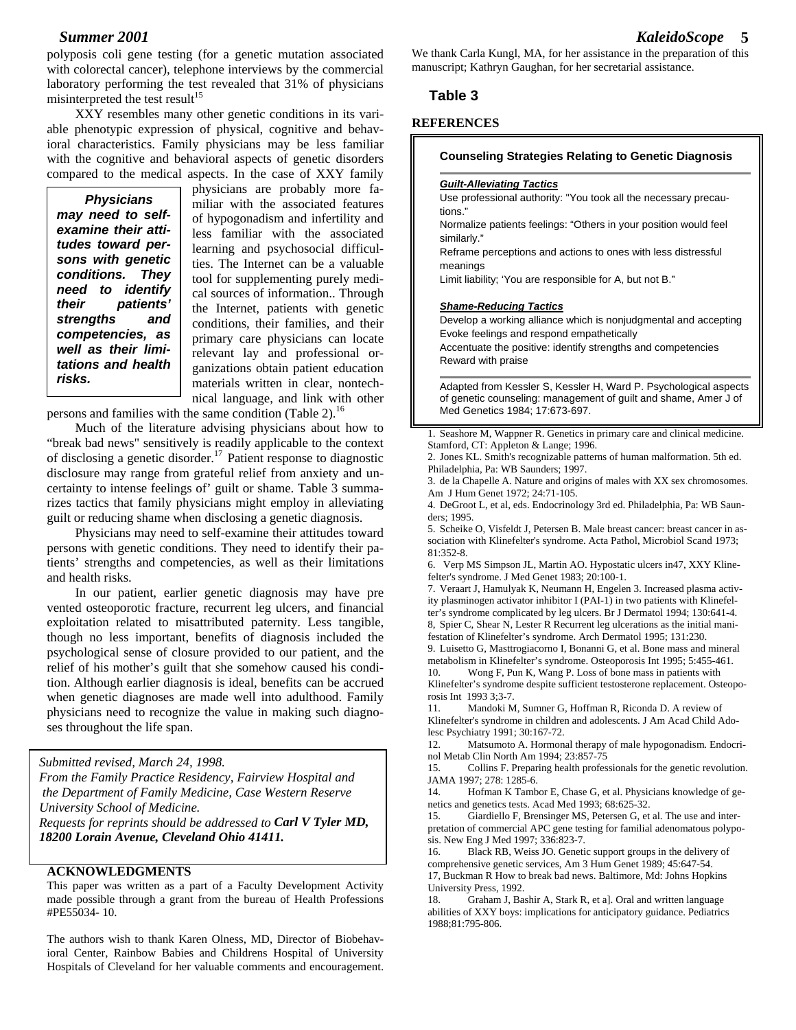polyposis coli gene testing (for a genetic mutation associated with colorectal cancer), telephone interviews by the commercial laboratory performing the test revealed that 31% of physicians misinterpreted the test result<sup>15</sup>

XXY resembles many other genetic conditions in its variable phenotypic expression of physical, cognitive and behavioral characteristics. Family physicians may be less familiar with the cognitive and behavioral aspects of genetic disorders compared to the medical aspects. In the case of XXY family

*Physicians may need to selfexamine their attitudes toward persons with genetic conditions. They need to identify their patients' strengths and competencies, as well as their limitations and health risks.*

physicians are probably more familiar with the associated features of hypogonadism and infertility and less familiar with the associated learning and psychosocial difficulties. The Internet can be a valuable tool for supplementing purely medical sources of information.. Through the Internet, patients with genetic conditions, their families, and their primary care physicians can locate relevant lay and professional organizations obtain patient education materials written in clear, nontechnical language, and link with other

persons and families with the same condition (Table 2).<sup>16</sup>

Much of the literature advising physicians about how to "break bad news" sensitively is readily applicable to the context of disclosing a genetic disorder.<sup>17</sup> Patient response to diagnostic disclosure may range from grateful relief from anxiety and uncertainty to intense feelings of' guilt or shame. Table 3 summarizes tactics that family physicians might employ in alleviating guilt or reducing shame when disclosing a genetic diagnosis.

Physicians may need to self-examine their attitudes toward persons with genetic conditions. They need to identify their patients' strengths and competencies, as well as their limitations and health risks.

In our patient, earlier genetic diagnosis may have pre vented osteoporotic fracture, recurrent leg ulcers, and financial exploitation related to misattributed paternity. Less tangible, though no less important, benefits of diagnosis included the psychological sense of closure provided to our patient, and the relief of his mother's guilt that she somehow caused his condition. Although earlier diagnosis is ideal, benefits can be accrued when genetic diagnoses are made well into adulthood. Family physicians need to recognize the value in making such diagnoses throughout the life span.

*Submitted revised, March 24, 1998.*

*From the Family Practice Residency, Fairview Hospital and the Department of Family Medicine, Case Western Reserve University School of Medicine. Requests for reprints should be addressed to Carl V Tyler MD, 18200 Lorain Avenue, Cleveland Ohio 41411.*

#### **ACKNOWLEDGMENTS**

This paper was written as a part of a Faculty Development Activity made possible through a grant from the bureau of Health Professions #PE55034- 10.

The authors wish to thank Karen Olness, MD, Director of Biobehavioral Center, Rainbow Babies and Childrens Hospital of University Hospitals of Cleveland for her valuable comments and encouragement. We thank Carla Kungl, MA, for her assistance in the preparation of this manuscript; Kathryn Gaughan, for her secretarial assistance.

#### **Table 3**

#### **REFERENCES**

#### **Counseling Strategies Relating to Genetic Diagnosis**

#### *Guilt-Alleviating Tactics*

Use professional authority: "You took all the necessary precautions."

Normalize patients feelings: "Others in your position would feel similarly."

Reframe perceptions and actions to ones with less distressful meanings

Limit liability; 'You are responsible for A, but not B."

#### *Shame-Reducing Tactics*

Develop a working alliance which is nonjudgmental and accepting Evoke feelings and respond empathetically

Accentuate the positive: identify strengths and competencies Reward with praise

Adapted from Kessler S, Kessler H, Ward P. Psychological aspects of genetic counseling: management of guilt and shame, Amer J of Med Genetics 1984; 17:673-697.

1. Seashore M, Wappner R. Genetics in primary care and clinical medicine. Stamford, CT: Appleton & Lange; 1996.

2. Jones KL. Smith's recognizable patterns of human malformation. 5th ed. Philadelphia, Pa: WB Saunders; 1997.

3. de la Chapelle A. Nature and origins of males with XX sex chromosomes. Am J Hum Genet 1972; 24:71-105.

4. DeGroot L, et al, eds. Endocrinology 3rd ed. Philadelphia, Pa: WB Saunders; 1995.

5. Scheike O, Visfeldt J, Petersen B. Male breast cancer: breast cancer in association with Klinefelter's syndrome. Acta Pathol, Microbiol Scand 1973; 81:352-8.

6. Verp MS Simpson JL, Martin AO. Hypostatic ulcers in47, XXY Klinefelter's syndrome. J Med Genet 1983; 20:100-1.

7. Veraart J, Hamulyak K, Neumann H, Engelen 3. Increased plasma activity plasminogen activator inhibitor I (PAI-1) in two patients with Klinefelter's syndrome complicated by leg ulcers. Br J Dermatol 1994; 130:641-4. 8, Spier C, Shear N, Lester R Recurrent leg ulcerations as the initial manifestation of Klinefelter's syndrome. Arch Dermatol 1995; 131:230.

9. Luisetto G, Masttrogiacorno I, Bonanni G, et al. Bone mass and mineral metabolism in Klinefelter's syndrome. Osteoporosis Int 1995; 5:455-461.

10. Wong F, Pun K, Wang P. Loss of bone mass in patients with Klinefelter's syndrome despite sufficient testosterone replacement. Osteoporosis Int 1993 3;3-7.

11. Mandoki M, Sumner G, Hoffman R, Riconda D. A review of Klinefelter's syndrome in children and adolescents. J Am Acad Child Adolesc Psychiatry 1991; 30:167-72.

12. Matsumoto A. Hormonal therapy of male hypogonadism. Endocrinol Metab Clin North Am 1994; 23:857-75

15. Collins F. Preparing health professionals for the genetic revolution. JAMA 1997; 278: 1285-6.

14. Hofman K Tambor E, Chase G, et al. Physicians knowledge of genetics and genetics tests. Acad Med 1993; 68:625-32.

15. Giardiello F, Brensinger MS, Petersen G, et al. The use and interpretation of commercial APC gene testing for familial adenomatous polyposis. New Eng J Med 1997; 336:823-7.

16. Black RB, Weiss JO. Genetic support groups in the delivery of comprehensive genetic services, Am 3 Hum Genet 1989; 45:647-54. 17, Buckman R How to break bad news. Baltimore, Md: Johns Hopkins University Press, 1992.

18. Graham J, Bashir A, Stark R, et a]. Oral and written language abilities of XXY boys: implications for anticipatory guidance. Pediatrics 1988;81:795-806.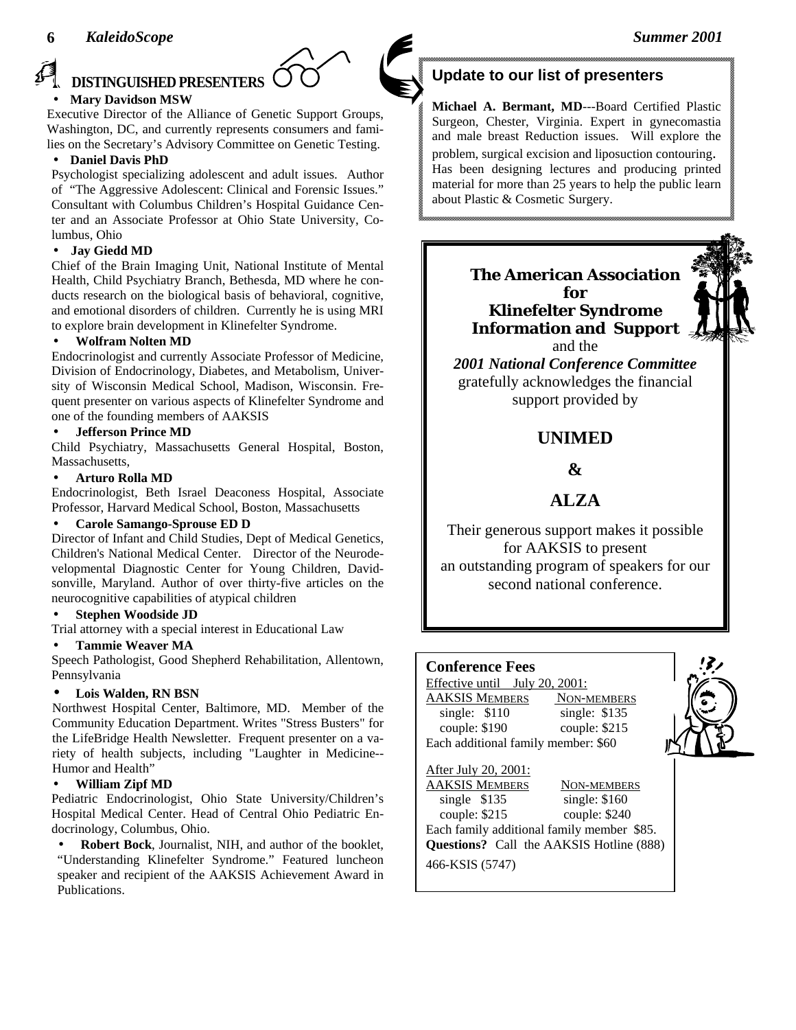

#### **DISTINGUISHED PRESENTERS**  • **Mary Davidson MSW**

Executive Director of the Alliance of Genetic Support Groups, Washington, DC, and currently represents consumers and families on the Secretary's Advisory Committee on Genetic Testing.

#### • **Daniel Davis PhD**

Psychologist specializing adolescent and adult issues. Author of "The Aggressive Adolescent: Clinical and Forensic Issues." Consultant with Columbus Children's Hospital Guidance Center and an Associate Professor at Ohio State University, Columbus, Ohio

#### • **Jay Giedd MD**

Chief of the Brain Imaging Unit, National Institute of Mental Health, Child Psychiatry Branch, Bethesda, MD where he conducts research on the biological basis of behavioral, cognitive, and emotional disorders of children. Currently he is using MRI to explore brain development in Klinefelter Syndrome.

#### • **Wolfram Nolten MD**

Endocrinologist and currently Associate Professor of Medicine, Division of Endocrinology, Diabetes, and Metabolism, University of Wisconsin Medical School, Madison, Wisconsin. Frequent presenter on various aspects of Klinefelter Syndrome and one of the founding members of AAKSIS

#### • **Jefferson Prince MD**

Child Psychiatry, Massachusetts General Hospital, Boston, Massachusetts,

#### • **Arturo Rolla MD**

Endocrinologist, Beth Israel Deaconess Hospital, Associate Professor, Harvard Medical School, Boston, Massachusetts

#### • **Carole Samango-Sprouse ED D**

Director of Infant and Child Studies, Dept of Medical Genetics, Children's National Medical Center. Director of the Neurodevelopmental Diagnostic Center for Young Children, Davidsonville, Maryland. Author of over thirty-five articles on the neurocognitive capabilities of atypical children

#### • **Stephen Woodside JD**

Trial attorney with a special interest in Educational Law

#### • **Tammie Weaver MA**

Speech Pathologist, Good Shepherd Rehabilitation, Allentown, Pennsylvania

#### • **Lois Walden, RN BSN**

Northwest Hospital Center, Baltimore, MD. Member of the Community Education Department. Writes "Stress Busters" for the LifeBridge Health Newsletter. Frequent presenter on a variety of health subjects, including "Laughter in Medicine-- Humor and Health"

#### • **William Zipf MD**

Pediatric Endocrinologist, Ohio State University/Children's Hospital Medical Center. Head of Central Ohio Pediatric Endocrinology, Columbus, Ohio.

• **Robert Bock**, Journalist, NIH, and author of the booklet, "Understanding Klinefelter Syndrome." Featured luncheon speaker and recipient of the AAKSIS Achievement Award in Publications.

## **Update to our list of presenters**

**Michael A. Bermant, MD**---Board Certified Plastic Surgeon, Chester, Virginia. Expert in gynecomastia and male breast Reduction issues. Will explore the problem, surgical excision and liposuction contouring. Has been designing lectures and producing printed material for more than 25 years to help the public learn about Plastic & Cosmetic Surgery.

> **The American Association for Klinefelter Syndrome Information and Support** and the



*2001 National Conference Committee* gratefully acknowledges the financial support provided by

# **UNIMED**

### **&**

# **ALZA**

Their generous support makes it possible for AAKSIS to present an outstanding program of speakers for our second national conference.

#### **Conference Fees**

Effective until July 20, 2001: AAKSIS MEMBERS NON-MEMBERS single: \$110 single: \$135 couple: \$190 couple: \$215 Each additional family member: \$60



#### After July 20, 2001: AAKSIS MEMBERS NON-MEMBERS single \$135 single: \$160 couple: \$215 couple: \$240 Each family additional family member \$85. **Questions?** Call the AAKSIS Hotline (888) 466-KSIS (5747)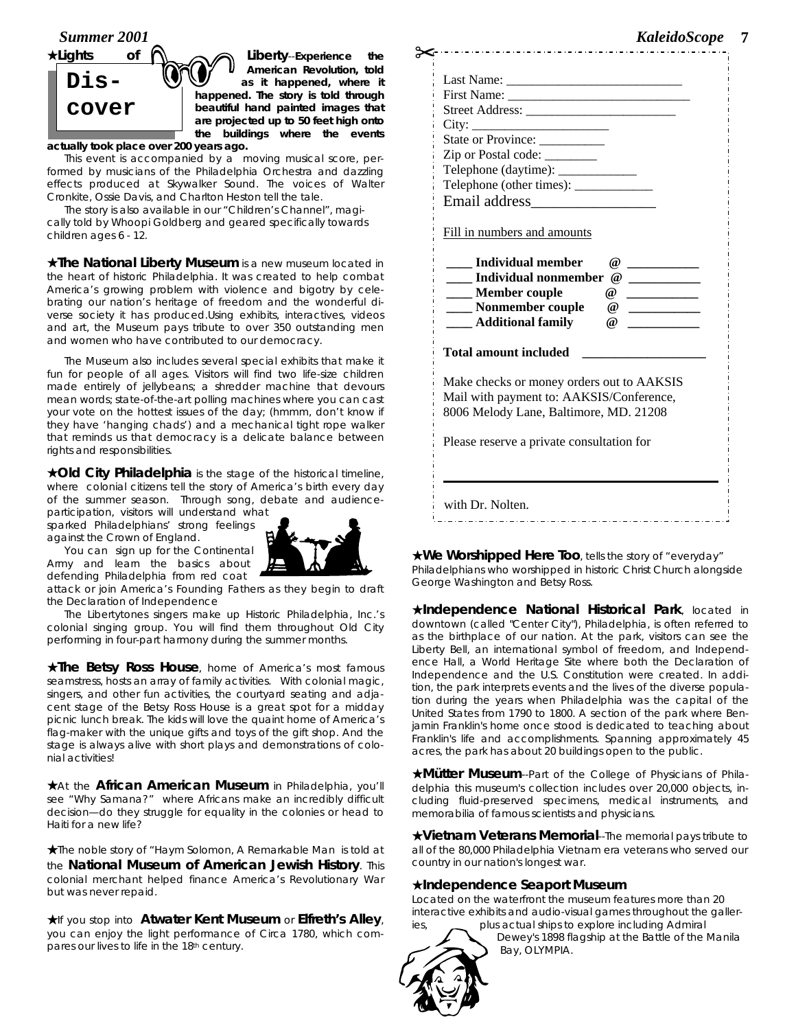



**American Revolution, told as it happened, where it happened. The story is told through beautiful hand painted images that are projected up to 50 feet high onto the buildings where the events**

**actually took place over 200 years ago.** 

This event is accompanied by a moving musical score, performed by musicians of the Philadelphia Orchestra and dazzling effects produced at Skywalker Sound. The voices of Walter Cronkite, Ossie Davis, and Charlton Heston tell the tale.

The story is also available in our "Children's Channel", magically told by Whoopi Goldberg and geared specifically towards children ages 6 - 12.

★**The National Liberty Museum** is a new museum located in the heart of historic Philadelphia. It was created to help combat America's growing problem with violence and bigotry by celebrating our nation's heritage of freedom and the wonderful diverse society it has produced.Using exhibits, interactives, videos and art, the Museum pays tribute to over 350 outstanding men and women who have contributed to our democracy.

The Museum also includes several special exhibits that make it fun for people of all ages. Visitors will find two life-size children made entirely of jellybeans; a shredder machine that devours mean words; state-of-the-art polling machines where you can cast your vote on the hottest issues of the day; (hmmm, don't know if they have 'hanging chads') and a mechanical tight rope walker that reminds us that democracy is a delicate balance between rights and responsibilities.

★**Old City Philadelphia** is the stage of the historical timeline, where colonial citizens tell the story of America's birth every day of the summer season. Through song, debate and audienceparticipation, visitors will understand what

sparked Philadelphians' strong feelings against the Crown of England. You can sign up for the Continental

Army and learn the basics about



defending Philadelphia from red coat attack or join America's Founding Fathers as they begin to draft the Declaration of Independence

The *Libertytones* singers make up Historic Philadelphia, Inc.'s colonial singing group. You will find them throughout Old City performing in four-part harmony during the summer months.

★**The Betsy Ross House**, home of America's most famous seamstress, hosts an array of family activities. With colonial magic, singers, and other fun activities, the courtyard seating and adjacent stage of the Betsy Ross House is a great spot for a midday picnic lunch break. The kids will love the quaint home of America's flag-maker with the unique gifts and toys of the gift shop. And the stage is always alive with short plays and demonstrations of colonial activities!

★At the **African American Museum** in Philadelphia, you'll see "Why Samana?" where Africans make an incredibly difficult decision—do they struggle for equality in the colonies or head to Haiti for a new life?

★The noble story of "Haym Solomon, A Remarkable Man is told at the **National Museum of American Jewish History**. This colonial merchant helped finance America's Revolutionary War but was never repaid.

★If you stop into **Atwater Kent Museum** or **Elfreth's Alley**, you can enjoy the light performance of Circa 1780, which compares our lives to life in the 18th century.

|                                           |          | emoscope                 |
|-------------------------------------------|----------|--------------------------|
|                                           |          |                          |
|                                           |          |                          |
|                                           |          |                          |
|                                           |          |                          |
|                                           |          |                          |
| State or Province:                        |          |                          |
| Zip or Postal code: ________              |          |                          |
| Telephone (daytime): _____________        |          |                          |
|                                           |          |                          |
|                                           |          |                          |
|                                           |          |                          |
| Fill in numbers and amounts               |          |                          |
|                                           |          |                          |
| <b>Individual member</b>                  | $\omega$ |                          |
| <b>Individual nonmember</b>               | $\omega$ |                          |
| ____ Member couple                        | $\omega$ | $\overline{\phantom{a}}$ |
| ____ Nonmember couple                     | $\omega$ |                          |
| <b>Additional family</b>                  | $\omega$ |                          |
| <b>Total amount included</b>              |          |                          |
| Make checks or money orders out to AAKSIS |          |                          |
| Mail with payment to: AAKSIS/Conference,  |          |                          |
| 8006 Melody Lane, Baltimore, MD. 21208    |          |                          |
|                                           |          |                          |
| Please reserve a private consultation for |          |                          |
|                                           |          |                          |
|                                           |          |                          |
|                                           |          |                          |

★**We Worshipped Here Too**, tells the story of "everyday" Philadelphians who worshipped in historic Christ Church alongside George Washington and Betsy Ross.

★**Independence National Historical Park**, located in downtown (called "Center City"), Philadelphia, is often referred to as the birthplace of our nation. At the park, visitors can see the Liberty Bell, an international symbol of freedom, and Independence Hall, a World Heritage Site where both the Declaration of Independence and the U.S. Constitution were created. In addition, the park interprets events and the lives of the diverse population during the years when Philadelphia was the capital of the United States from 1790 to 1800. A section of the park where Benjamin Franklin's home once stood is dedicated to teaching about Franklin's life and accomplishments. Spanning approximately 45 acres, the park has about 20 buildings open to the public.

★**Mütter Museum**--Part of the College of Physicians of Philadelphia this museum's collection includes over 20,000 objects, including fluid-preserved specimens, medical instruments, and memorabilia of famous scientists and physicians.

★**Vietnam Veterans Memorial**--The memorial pays tribute to all of the 80,000 Philadelphia Vietnam era veterans who served our country in our nation's longest war.

#### ★**Independence Seaport Museum**

Located on the waterfront the museum features more than 20 interactive exhibits and audio-visual games throughout the galleries, plus actual ships to explore including Admiral



Dewey's 1898 flagship at the Battle of the Manila Bay, OLYMPIA.